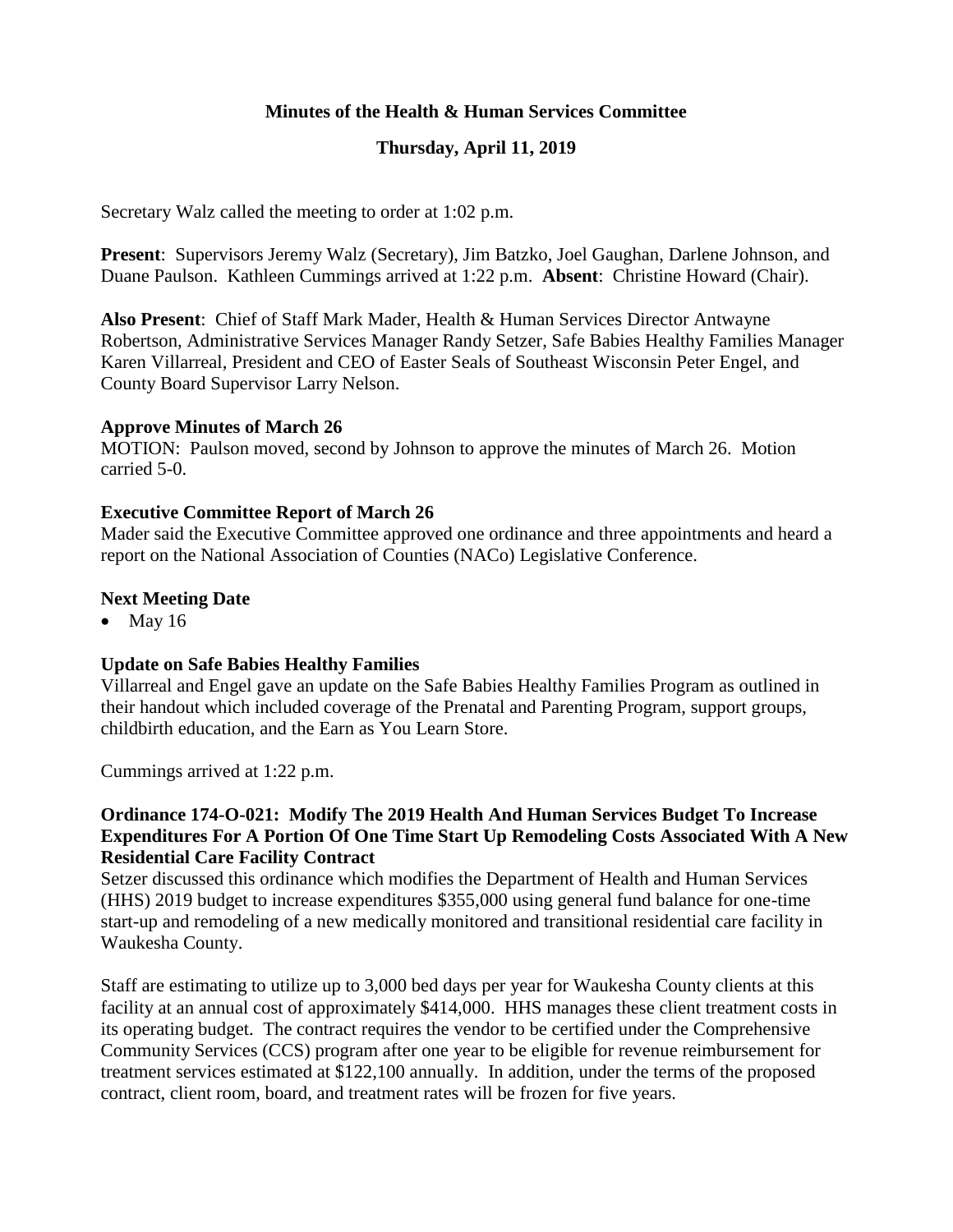# **Minutes of the Health & Human Services Committee**

# **Thursday, April 11, 2019**

Secretary Walz called the meeting to order at 1:02 p.m.

**Present**: Supervisors Jeremy Walz (Secretary), Jim Batzko, Joel Gaughan, Darlene Johnson, and Duane Paulson. Kathleen Cummings arrived at 1:22 p.m. **Absent**: Christine Howard (Chair).

**Also Present**: Chief of Staff Mark Mader, Health & Human Services Director Antwayne Robertson, Administrative Services Manager Randy Setzer, Safe Babies Healthy Families Manager Karen Villarreal, President and CEO of Easter Seals of Southeast Wisconsin Peter Engel, and County Board Supervisor Larry Nelson.

#### **Approve Minutes of March 26**

MOTION: Paulson moved, second by Johnson to approve the minutes of March 26. Motion carried 5-0.

#### **Executive Committee Report of March 26**

Mader said the Executive Committee approved one ordinance and three appointments and heard a report on the National Association of Counties (NACo) Legislative Conference.

#### **Next Meeting Date**

 $\bullet$  May 16

#### **Update on Safe Babies Healthy Families**

Villarreal and Engel gave an update on the Safe Babies Healthy Families Program as outlined in their handout which included coverage of the Prenatal and Parenting Program, support groups, childbirth education, and the Earn as You Learn Store.

Cummings arrived at 1:22 p.m.

### **Ordinance 174-O-021: Modify The 2019 Health And Human Services Budget To Increase Expenditures For A Portion Of One Time Start Up Remodeling Costs Associated With A New Residential Care Facility Contract**

Setzer discussed this ordinance which modifies the Department of Health and Human Services (HHS) 2019 budget to increase expenditures \$355,000 using general fund balance for one-time start-up and remodeling of a new medically monitored and transitional residential care facility in Waukesha County.

Staff are estimating to utilize up to 3,000 bed days per year for Waukesha County clients at this facility at an annual cost of approximately \$414,000. HHS manages these client treatment costs in its operating budget. The contract requires the vendor to be certified under the Comprehensive Community Services (CCS) program after one year to be eligible for revenue reimbursement for treatment services estimated at \$122,100 annually. In addition, under the terms of the proposed contract, client room, board, and treatment rates will be frozen for five years.